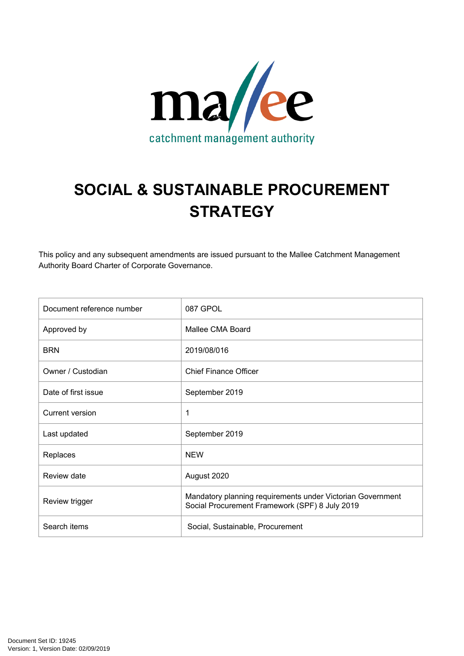

# **SOCIAL & SUSTAINABLE PROCUREMENT STRATEGY**

This policy and any subsequent amendments are issued pursuant to the Mallee Catchment Management Authority Board Charter of Corporate Governance.

| Document reference number | 087 GPOL                                                                                                     |
|---------------------------|--------------------------------------------------------------------------------------------------------------|
| Approved by               | Mallee CMA Board                                                                                             |
| <b>BRN</b>                | 2019/08/016                                                                                                  |
| Owner / Custodian         | <b>Chief Finance Officer</b>                                                                                 |
| Date of first issue       | September 2019                                                                                               |
| <b>Current version</b>    | 1                                                                                                            |
| Last updated              | September 2019                                                                                               |
| Replaces                  | <b>NEW</b>                                                                                                   |
| Review date               | August 2020                                                                                                  |
| Review trigger            | Mandatory planning requirements under Victorian Government<br>Social Procurement Framework (SPF) 8 July 2019 |
| Search items              | Social, Sustainable, Procurement                                                                             |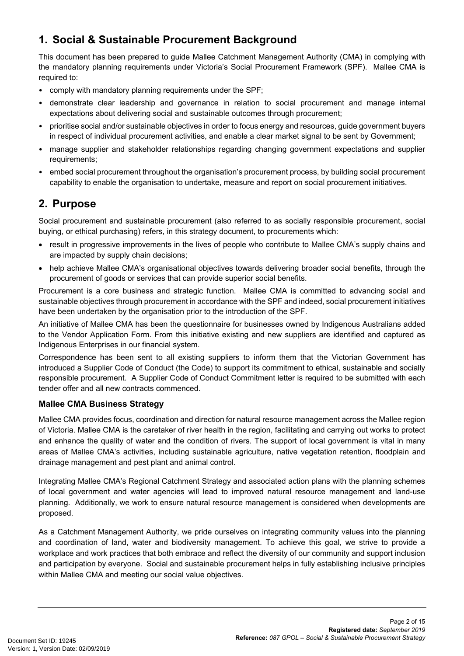# **1. Social & Sustainable Procurement Background**

This document has been prepared to guide Mallee Catchment Management Authority (CMA) in complying with the mandatory planning requirements under Victoria's Social Procurement Framework (SPF). Mallee CMA is required to:

- comply with mandatory planning requirements under the SPF;
- demonstrate clear leadership and governance in relation to social procurement and manage internal expectations about delivering social and sustainable outcomes through procurement;
- prioritise social and/or sustainable objectives in order to focus energy and resources, guide government buyers in respect of individual procurement activities, and enable a clear market signal to be sent by Government;
- manage supplier and stakeholder relationships regarding changing government expectations and supplier requirements;
- embed social procurement throughout the organisation's procurement process, by building social procurement capability to enable the organisation to undertake, measure and report on social procurement initiatives.

# **2. Purpose**

Social procurement and sustainable procurement (also referred to as socially responsible procurement, social buying, or ethical purchasing) refers, in this strategy document, to procurements which:

- result in progressive improvements in the lives of people who contribute to Mallee CMA's supply chains and are impacted by supply chain decisions;
- help achieve Mallee CMA's organisational objectives towards delivering broader social benefits, through the procurement of goods or services that can provide superior social benefits.

Procurement is a core business and strategic function. Mallee CMA is committed to advancing social and sustainable objectives through procurement in accordance with the SPF and indeed, social procurement initiatives have been undertaken by the organisation prior to the introduction of the SPF.

An initiative of Mallee CMA has been the questionnaire for businesses owned by Indigenous Australians added to the Vendor Application Form. From this initiative existing and new suppliers are identified and captured as Indigenous Enterprises in our financial system.

Correspondence has been sent to all existing suppliers to inform them that the Victorian Government has introduced a Supplier Code of Conduct (the Code) to support its commitment to ethical, sustainable and socially responsible procurement. A Supplier Code of Conduct Commitment letter is required to be submitted with each tender offer and all new contracts commenced.

# **Mallee CMA Business Strategy**

Mallee CMA provides focus, coordination and direction for natural resource management across the Mallee region of Victoria. Mallee CMA is the caretaker of river health in the region, facilitating and carrying out works to protect and enhance the quality of water and the condition of rivers. The support of local government is vital in many areas of Mallee CMA's activities, including sustainable agriculture, native vegetation retention, floodplain and drainage management and pest plant and animal control.

Integrating Mallee CMA's Regional Catchment Strategy and associated action plans with the planning schemes of local government and water agencies will lead to improved natural resource management and land-use planning. Additionally, we work to ensure natural resource management is considered when developments are proposed.

As a Catchment Management Authority, we pride ourselves on integrating community values into the planning and coordination of land, water and biodiversity management. To achieve this goal, we strive to provide a workplace and work practices that both embrace and reflect the diversity of our community and support inclusion and participation by everyone. Social and sustainable procurement helps in fully establishing inclusive principles within Mallee CMA and meeting our social value objectives.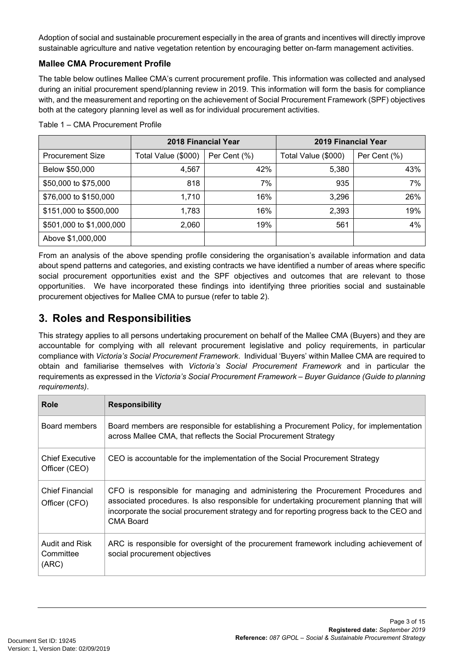Adoption of social and sustainable procurement especially in the area of grants and incentives will directly improve sustainable agriculture and native vegetation retention by encouraging better on-farm management activities.

# **Mallee CMA Procurement Profile**

The table below outlines Mallee CMA's current procurement profile. This information was collected and analysed during an initial procurement spend/planning review in 2019. This information will form the basis for compliance with, and the measurement and reporting on the achievement of Social Procurement Framework (SPF) objectives both at the category planning level as well as for individual procurement activities.

|                          | 2018 Financial Year                 |     | 2019 Financial Year |              |
|--------------------------|-------------------------------------|-----|---------------------|--------------|
| <b>Procurement Size</b>  | Per Cent (%)<br>Total Value (\$000) |     | Total Value (\$000) | Per Cent (%) |
| Below \$50,000           | 4,567                               | 42% | 5,380               | 43%          |
| \$50,000 to \$75,000     | 818                                 | 7%  | 935                 | 7%           |
| \$76,000 to \$150,000    | 1,710                               | 16% | 3,296               | 26%          |
| \$151,000 to \$500,000   | 1,783                               | 16% | 2,393               | 19%          |
| \$501,000 to \$1,000,000 | 2,060                               | 19% | 561                 | 4%           |
| Above \$1,000,000        |                                     |     |                     |              |

Table 1 – CMA Procurement Profile

From an analysis of the above spending profile considering the organisation's available information and data about spend patterns and categories, and existing contracts we have identified a number of areas where specific social procurement opportunities exist and the SPF objectives and outcomes that are relevant to those opportunities. We have incorporated these findings into identifying three priorities social and sustainable procurement objectives for Mallee CMA to pursue (refer to table 2).

# **3. Roles and Responsibilities**

This strategy applies to all persons undertaking procurement on behalf of the Mallee CMA (Buyers) and they are accountable for complying with all relevant procurement legislative and policy requirements, in particular compliance with *Victoria's Social Procurement Framework*. Individual 'Buyers' within Mallee CMA are required to obtain and familiarise themselves with *Victoria's Social Procurement Framework* and in particular the requirements as expressed in the *Victoria's Social Procurement Framework – Buyer Guidance (Guide to planning requirements)*.

| Role                                    | <b>Responsibility</b>                                                                                                                                                                                                                                                                    |
|-----------------------------------------|------------------------------------------------------------------------------------------------------------------------------------------------------------------------------------------------------------------------------------------------------------------------------------------|
| Board members                           | Board members are responsible for establishing a Procurement Policy, for implementation<br>across Mallee CMA, that reflects the Social Procurement Strategy                                                                                                                              |
| <b>Chief Executive</b><br>Officer (CEO) | CEO is accountable for the implementation of the Social Procurement Strategy                                                                                                                                                                                                             |
| <b>Chief Financial</b><br>Officer (CFO) | CFO is responsible for managing and administering the Procurement Procedures and<br>associated procedures. Is also responsible for undertaking procurement planning that will<br>incorporate the social procurement strategy and for reporting progress back to the CEO and<br>CMA Board |
| Audit and Risk<br>Committee<br>(ARC)    | ARC is responsible for oversight of the procurement framework including achievement of<br>social procurement objectives                                                                                                                                                                  |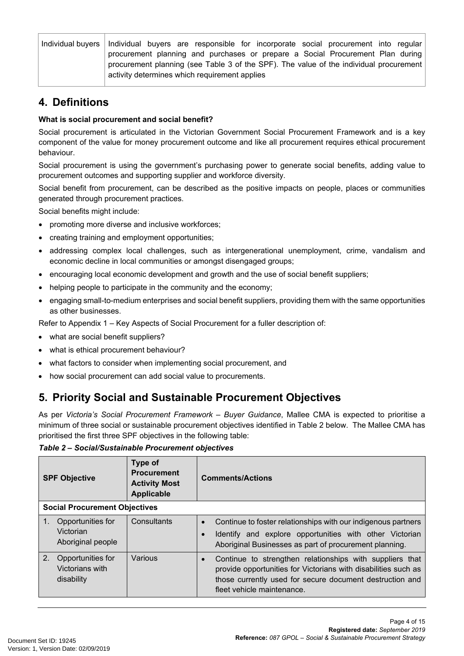| Individual buyers   Individual buyers are responsible for incorporate social procurement into regular |
|-------------------------------------------------------------------------------------------------------|
| procurement planning and purchases or prepare a Social Procurement Plan during                        |
| procurement planning (see Table 3 of the SPF). The value of the individual procurement                |
| activity determines which requirement applies                                                         |

# **4. Definitions**

### **What is social procurement and social benefit?**

Social procurement is articulated in the Victorian Government Social Procurement Framework and is a key component of the value for money procurement outcome and like all procurement requires ethical procurement behaviour.

Social procurement is using the government's purchasing power to generate social benefits, adding value to procurement outcomes and supporting supplier and workforce diversity.

Social benefit from procurement, can be described as the positive impacts on people, places or communities generated through procurement practices.

Social benefits might include:

- promoting more diverse and inclusive workforces;
- creating training and employment opportunities;
- addressing complex local challenges, such as intergenerational unemployment, crime, vandalism and economic decline in local communities or amongst disengaged groups;
- encouraging local economic development and growth and the use of social benefit suppliers;
- helping people to participate in the community and the economy;
- engaging small-to-medium enterprises and social benefit suppliers, providing them with the same opportunities as other businesses.

Refer to Appendix 1 – Key Aspects of Social Procurement for a fuller description of:

- what are social benefit suppliers?
- what is ethical procurement behaviour?
- what factors to consider when implementing social procurement, and
- how social procurement can add social value to procurements.

# **5. Priority Social and Sustainable Procurement Objectives**

As per *Victoria's Social Procurement Framework – Buyer Guidance*, Mallee CMA is expected to prioritise a minimum of three social or sustainable procurement objectives identified in Table 2 below. The Mallee CMA has prioritised the first three SPF objectives in the following table:

*Table 2 – Social/Sustainable Procurement objectives*

| <b>SPF Objective</b>                                                        | Type of<br><b>Procurement</b><br><b>Activity Most</b><br><b>Applicable</b> | <b>Comments/Actions</b>                                                                                                                                                                                                           |  |
|-----------------------------------------------------------------------------|----------------------------------------------------------------------------|-----------------------------------------------------------------------------------------------------------------------------------------------------------------------------------------------------------------------------------|--|
| <b>Social Procurement Objectives</b>                                        |                                                                            |                                                                                                                                                                                                                                   |  |
| 1. Opportunities for<br>Victorian<br>Aboriginal people                      | Consultants                                                                | Continue to foster relationships with our indigenous partners<br>$\bullet$<br>Identify and explore opportunities with other Victorian<br>$\bullet$<br>Aboriginal Businesses as part of procurement planning.                      |  |
| 2 <sup>2</sup><br>Opportunities for<br><b>Victorians with</b><br>disability | Various                                                                    | Continue to strengthen relationships with suppliers that<br>$\bullet$<br>provide opportunities for Victorians with disabilities such as<br>those currently used for secure document destruction and<br>fleet vehicle maintenance. |  |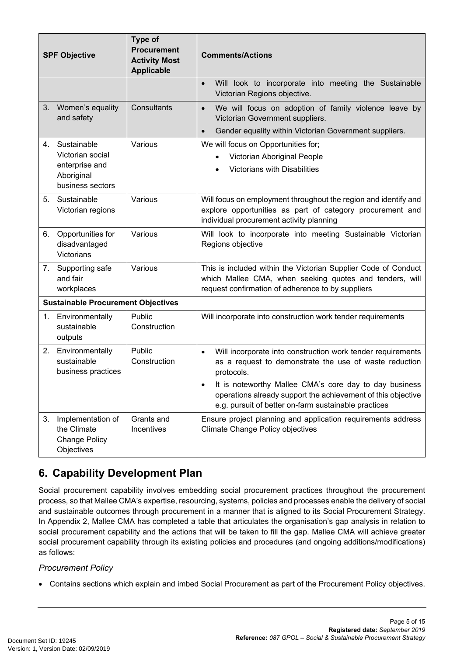| <b>SPF Objective</b> |                                                                                     | Type of<br><b>Procurement</b><br><b>Activity Most</b><br><b>Applicable</b> | <b>Comments/Actions</b>                                                                                                                                                                                                                                                                                                            |
|----------------------|-------------------------------------------------------------------------------------|----------------------------------------------------------------------------|------------------------------------------------------------------------------------------------------------------------------------------------------------------------------------------------------------------------------------------------------------------------------------------------------------------------------------|
|                      |                                                                                     |                                                                            | Will look to incorporate into meeting the Sustainable<br>Victorian Regions objective.                                                                                                                                                                                                                                              |
| 3.                   | Women's equality<br>and safety                                                      | Consultants                                                                | We will focus on adoption of family violence leave by<br>$\bullet$<br>Victorian Government suppliers.<br>Gender equality within Victorian Government suppliers.<br>$\bullet$                                                                                                                                                       |
| 4.                   | Sustainable<br>Victorian social<br>enterprise and<br>Aboriginal<br>business sectors | Various                                                                    | We will focus on Opportunities for;<br>Victorian Aboriginal People<br>Victorians with Disabilities                                                                                                                                                                                                                                 |
| 5.                   | Sustainable<br>Victorian regions                                                    | Various                                                                    | Will focus on employment throughout the region and identify and<br>explore opportunities as part of category procurement and<br>individual procurement activity planning                                                                                                                                                           |
| 6.                   | Opportunities for<br>disadvantaged<br>Victorians                                    | Various                                                                    | Will look to incorporate into meeting Sustainable Victorian<br>Regions objective                                                                                                                                                                                                                                                   |
|                      | 7. Supporting safe<br>and fair<br>workplaces                                        | Various                                                                    | This is included within the Victorian Supplier Code of Conduct<br>which Mallee CMA, when seeking quotes and tenders, will<br>request confirmation of adherence to by suppliers                                                                                                                                                     |
|                      | <b>Sustainable Procurement Objectives</b>                                           |                                                                            |                                                                                                                                                                                                                                                                                                                                    |
| 1.                   | Environmentally<br>sustainable<br>outputs                                           | Public<br>Construction                                                     | Will incorporate into construction work tender requirements                                                                                                                                                                                                                                                                        |
|                      | 2. Environmentally<br>sustainable<br>business practices                             | Public<br>Construction                                                     | Will incorporate into construction work tender requirements<br>$\bullet$<br>as a request to demonstrate the use of waste reduction<br>protocols.<br>It is noteworthy Mallee CMA's core day to day business<br>operations already support the achievement of this objective<br>e.g. pursuit of better on-farm sustainable practices |
| 3.                   | Implementation of<br>the Climate<br><b>Change Policy</b><br>Objectives              | Grants and<br>Incentives                                                   | Ensure project planning and application requirements address<br><b>Climate Change Policy objectives</b>                                                                                                                                                                                                                            |

# **6. Capability Development Plan**

Social procurement capability involves embedding social procurement practices throughout the procurement process, so that Mallee CMA's expertise, resourcing, systems, policies and processes enable the delivery of social and sustainable outcomes through procurement in a manner that is aligned to its Social Procurement Strategy. In Appendix 2, Mallee CMA has completed a table that articulates the organisation's gap analysis in relation to social procurement capability and the actions that will be taken to fill the gap. Mallee CMA will achieve greater social procurement capability through its existing policies and procedures (and ongoing additions/modifications) as follows:

### *Procurement Policy*

Contains sections which explain and imbed Social Procurement as part of the Procurement Policy objectives.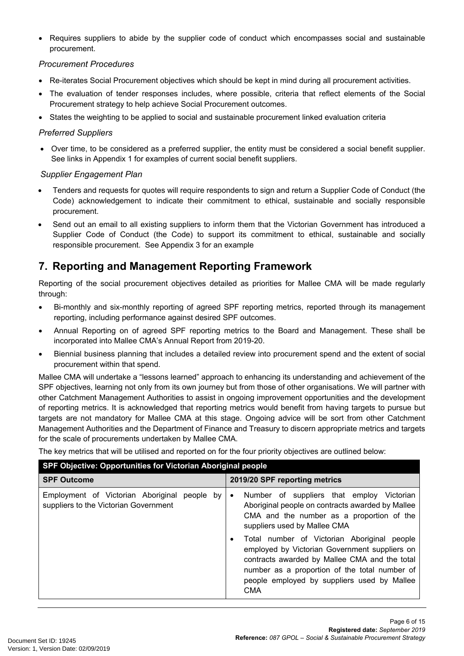Requires suppliers to abide by the supplier code of conduct which encompasses social and sustainable procurement.

### *Procurement Procedures*

- Re-iterates Social Procurement objectives which should be kept in mind during all procurement activities.
- The evaluation of tender responses includes, where possible, criteria that reflect elements of the Social Procurement strategy to help achieve Social Procurement outcomes.
- States the weighting to be applied to social and sustainable procurement linked evaluation criteria

### *Preferred Suppliers*

 Over time, to be considered as a preferred supplier, the entity must be considered a social benefit supplier. See links in Appendix 1 for examples of current social benefit suppliers.

### *Supplier Engagement Plan*

- Tenders and requests for quotes will require respondents to sign and return a Supplier Code of Conduct (the Code) acknowledgement to indicate their commitment to ethical, sustainable and socially responsible procurement.
- Send out an email to all existing suppliers to inform them that the Victorian Government has introduced a Supplier Code of Conduct (the Code) to support its commitment to ethical, sustainable and socially responsible procurement. See Appendix 3 for an example

# **7. Reporting and Management Reporting Framework**

Reporting of the social procurement objectives detailed as priorities for Mallee CMA will be made regularly through:

- Bi-monthly and six-monthly reporting of agreed SPF reporting metrics, reported through its management reporting, including performance against desired SPF outcomes.
- Annual Reporting on of agreed SPF reporting metrics to the Board and Management. These shall be incorporated into Mallee CMA's Annual Report from 2019-20.
- Biennial business planning that includes a detailed review into procurement spend and the extent of social procurement within that spend.

Mallee CMA will undertake a "lessons learned" approach to enhancing its understanding and achievement of the SPF objectives, learning not only from its own journey but from those of other organisations. We will partner with other Catchment Management Authorities to assist in ongoing improvement opportunities and the development of reporting metrics. It is acknowledged that reporting metrics would benefit from having targets to pursue but targets are not mandatory for Mallee CMA at this stage. Ongoing advice will be sort from other Catchment Management Authorities and the Department of Finance and Treasury to discern appropriate metrics and targets for the scale of procurements undertaken by Mallee CMA.

The key metrics that will be utilised and reported on for the four priority objectives are outlined below:

| SPF Objective: Opportunities for Victorian Aboriginal people                          |                                                                                                                                                                                                                                                                                                                                                                                                                                                        |  |
|---------------------------------------------------------------------------------------|--------------------------------------------------------------------------------------------------------------------------------------------------------------------------------------------------------------------------------------------------------------------------------------------------------------------------------------------------------------------------------------------------------------------------------------------------------|--|
| <b>SPF Outcome</b>                                                                    | 2019/20 SPF reporting metrics                                                                                                                                                                                                                                                                                                                                                                                                                          |  |
| Employment of Victorian Aboriginal people by<br>suppliers to the Victorian Government | Number of suppliers that employ Victorian<br>$\bullet$<br>Aboriginal people on contracts awarded by Mallee<br>CMA and the number as a proportion of the<br>suppliers used by Mallee CMA<br>Total number of Victorian Aboriginal people<br>employed by Victorian Government suppliers on<br>contracts awarded by Mallee CMA and the total<br>number as a proportion of the total number of<br>people employed by suppliers used by Mallee<br><b>CMA</b> |  |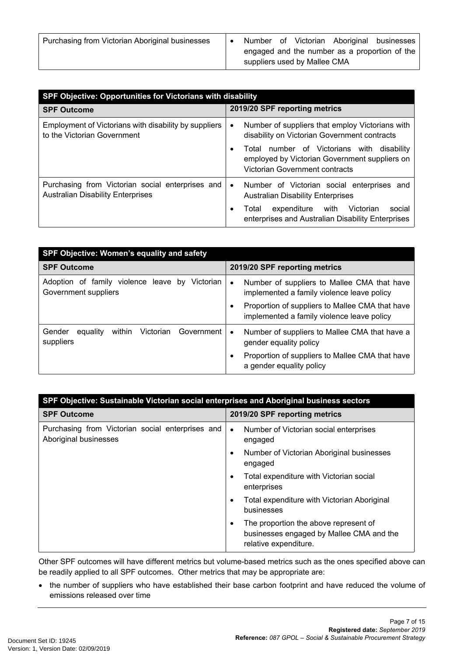| SPF Objective: Opportunities for Victorians with disability                                  |                                                                                                                               |  |
|----------------------------------------------------------------------------------------------|-------------------------------------------------------------------------------------------------------------------------------|--|
| <b>SPF Outcome</b>                                                                           | 2019/20 SPF reporting metrics                                                                                                 |  |
| Employment of Victorians with disability by suppliers<br>to the Victorian Government         | Number of suppliers that employ Victorians with<br>$\bullet$<br>disability on Victorian Government contracts                  |  |
|                                                                                              | Total number of Victorians with disability<br>employed by Victorian Government suppliers on<br>Victorian Government contracts |  |
| Purchasing from Victorian social enterprises and<br><b>Australian Disability Enterprises</b> | Number of Victorian social enterprises and<br>$\bullet$<br><b>Australian Disability Enterprises</b>                           |  |
|                                                                                              | expenditure with Victorian<br>social<br>Total<br>enterprises and Australian Disability Enterprises                            |  |

| <b>SPF Objective: Women's equality and safety</b>                      |                                                                                                        |  |
|------------------------------------------------------------------------|--------------------------------------------------------------------------------------------------------|--|
| <b>SPF Outcome</b>                                                     | 2019/20 SPF reporting metrics                                                                          |  |
| Adoption of family violence leave by Victorian<br>Government suppliers | Number of suppliers to Mallee CMA that have<br>$\bullet$<br>implemented a family violence leave policy |  |
|                                                                        | Proportion of suppliers to Mallee CMA that have<br>implemented a family violence leave policy          |  |
| Gender<br>Victorian<br>Government<br>equality<br>within<br>suppliers   | Number of suppliers to Mallee CMA that have a<br>$\bullet$<br>gender equality policy                   |  |
|                                                                        | Proportion of suppliers to Mallee CMA that have<br>$\bullet$<br>a gender equality policy               |  |

| SPF Objective: Sustainable Victorian social enterprises and Aboriginal business sectors |                                                                                                                         |  |
|-----------------------------------------------------------------------------------------|-------------------------------------------------------------------------------------------------------------------------|--|
| <b>SPF Outcome</b>                                                                      | 2019/20 SPF reporting metrics                                                                                           |  |
| Purchasing from Victorian social enterprises and<br>Aboriginal businesses               | Number of Victorian social enterprises<br>$\bullet$<br>engaged                                                          |  |
|                                                                                         | Number of Victorian Aboriginal businesses<br>٠<br>engaged                                                               |  |
|                                                                                         | Total expenditure with Victorian social<br>٠<br>enterprises                                                             |  |
|                                                                                         | Total expenditure with Victorian Aboriginal<br>٠<br>businesses                                                          |  |
|                                                                                         | The proportion the above represent of<br>$\bullet$<br>businesses engaged by Mallee CMA and the<br>relative expenditure. |  |

Other SPF outcomes will have different metrics but volume-based metrics such as the ones specified above can be readily applied to all SPF outcomes. Other metrics that may be appropriate are:

• the number of suppliers who have established their base carbon footprint and have reduced the volume of emissions released over time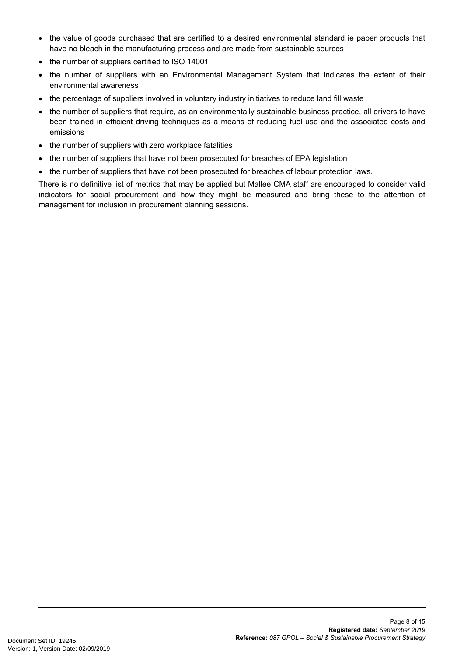- the value of goods purchased that are certified to a desired environmental standard ie paper products that have no bleach in the manufacturing process and are made from sustainable sources
- the number of suppliers certified to ISO 14001
- the number of suppliers with an Environmental Management System that indicates the extent of their environmental awareness
- the percentage of suppliers involved in voluntary industry initiatives to reduce land fill waste
- the number of suppliers that require, as an environmentally sustainable business practice, all drivers to have been trained in efficient driving techniques as a means of reducing fuel use and the associated costs and emissions
- the number of suppliers with zero workplace fatalities
- the number of suppliers that have not been prosecuted for breaches of EPA legislation
- the number of suppliers that have not been prosecuted for breaches of labour protection laws.

There is no definitive list of metrics that may be applied but Mallee CMA staff are encouraged to consider valid indicators for social procurement and how they might be measured and bring these to the attention of management for inclusion in procurement planning sessions.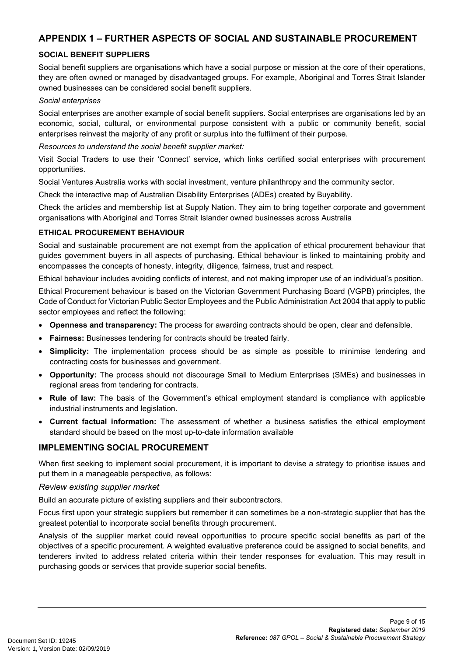# **APPENDIX 1 – FURTHER ASPECTS OF SOCIAL AND SUSTAINABLE PROCUREMENT**

#### **SOCIAL BENEFIT SUPPLIERS**

Social benefit suppliers are organisations which have a social purpose or mission at the core of their operations, they are often owned or managed by disadvantaged groups. For example, Aboriginal and Torres Strait Islander owned businesses can be considered social benefit suppliers.

#### *Social enterprises*

Social enterprises are another example of social benefit suppliers. Social enterprises are organisations led by an economic, social, cultural, or environmental purpose consistent with a public or community benefit, social enterprises reinvest the majority of any profit or surplus into the fulfilment of their purpose.

#### *Resources to understand the social benefit supplier market:*

Visit [Social Traders](http://www.socialtraders.com.au/) to use their 'Connect' service, which links certified social enterprises with procurement opportunities.

[Social Ventures Australia](http://www.socialventures.com.au/) works with social investment, venture philanthropy and the community sector.

Check the interactive map of Australian Disability Enterprises (ADEs) created by [Buyability.](https://buyability.org.au/)

Check the articles and membership list at [Supply Nation](http://www.supplynation.org.au/). They aim to bring together corporate and government organisations with Aboriginal and Torres Strait Islander owned businesses across Australia

#### **ETHICAL PROCUREMENT BEHAVIOUR**

Social and sustainable procurement are not exempt from the application of ethical procurement behaviour that guides government buyers in all aspects of purchasing. Ethical behaviour is linked to maintaining probity and encompasses the concepts of honesty, integrity, diligence, fairness, trust and respect.

Ethical behaviour includes avoiding conflicts of interest, and not making improper use of an individual's position.

Ethical Procurement behaviour is based on the Victorian Government Purchasing Board (VGPB) principles, the Code of Conduct for Victorian Public Sector Employees and the Public Administration Act 2004 that apply to public sector employees and reflect the following:

- **Openness and transparency:** The process for awarding contracts should be open, clear and defensible.
- **Fairness:** Businesses tendering for contracts should be treated fairly.
- **Simplicity:** The implementation process should be as simple as possible to minimise tendering and contracting costs for businesses and government.
- **Opportunity:** The process should not discourage Small to Medium Enterprises (SMEs) and businesses in regional areas from tendering for contracts.
- **Rule of law:** The basis of the Government's ethical employment standard is compliance with applicable industrial instruments and legislation.
- **Current factual information:** The assessment of whether a business satisfies the ethical employment standard should be based on the most up-to-date information available

#### **IMPLEMENTING SOCIAL PROCUREMENT**

When first seeking to implement social procurement, it is important to devise a strategy to prioritise issues and put them in a manageable perspective, as follows:

#### *Review existing supplier market*

Build an accurate picture of existing suppliers and their subcontractors.

Focus first upon your strategic suppliers but remember it can sometimes be a non-strategic supplier that has the greatest potential to incorporate social benefits through procurement.

Analysis of the supplier market could reveal opportunities to procure specific social benefits as part of the objectives of a specific procurement. A weighted evaluative preference could be assigned to social benefits, and tenderers invited to address related criteria within their tender responses for evaluation. This may result in purchasing goods or services that provide superior social benefits.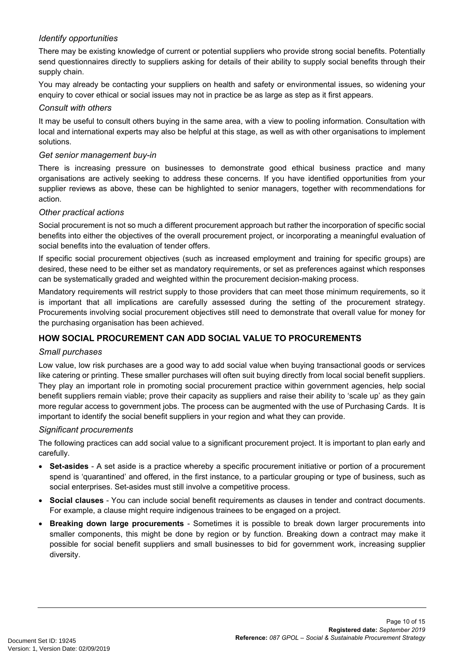### *Identify opportunities*

There may be existing knowledge of current or potential suppliers who provide strong social benefits. Potentially send questionnaires directly to suppliers asking for details of their ability to supply social benefits through their supply chain.

You may already be contacting your suppliers on health and safety or environmental issues, so widening your enquiry to cover ethical or social issues may not in practice be as large as step as it first appears.

#### *Consult with others*

It may be useful to consult others buying in the same area, with a view to pooling information. Consultation with local and international experts may also be helpful at this stage, as well as with other organisations to implement solutions.

#### *Get senior management buy-in*

There is increasing pressure on businesses to demonstrate good ethical business practice and many organisations are actively seeking to address these concerns. If you have identified opportunities from your supplier reviews as above, these can be highlighted to senior managers, together with recommendations for action.

#### *Other practical actions*

Social procurement is not so much a different procurement approach but rather the incorporation of specific social benefits into either the objectives of the overall procurement project, or incorporating a meaningful evaluation of social benefits into the evaluation of tender offers.

If specific social procurement objectives (such as increased employment and training for specific groups) are desired, these need to be either set as mandatory requirements, or set as preferences against which responses can be systematically graded and weighted within the procurement decision-making process.

Mandatory requirements will restrict supply to those providers that can meet those minimum requirements, so it is important that all implications are carefully assessed during the setting of the procurement strategy. Procurements involving social procurement objectives still need to demonstrate that overall value for money for the purchasing organisation has been achieved.

### **HOW SOCIAL PROCUREMENT CAN ADD SOCIAL VALUE TO PROCUREMENTS**

#### *Small purchases*

Low value, low risk purchases are a good way to add social value when buying transactional goods or services like catering or printing. These smaller purchases will often suit buying directly from local social benefit suppliers. They play an important role in promoting social procurement practice within government agencies, help social benefit suppliers remain viable; prove their capacity as suppliers and raise their ability to 'scale up' as they gain more regular access to government jobs. The process can be augmented with the use of Purchasing Cards. It is important to identify the social benefit suppliers in your region and what they can provide.

#### *Significant procurements*

The following practices can add social value to a significant procurement project. It is important to plan early and carefully.

- **Set-asides** A set aside is a practice whereby a specific procurement initiative or portion of a procurement spend is 'quarantined' and offered, in the first instance, to a particular grouping or type of business, such as social enterprises. Set-asides must still involve a competitive process.
- **Social clauses** You can include social benefit requirements as clauses in tender and contract documents. For example, a clause might require indigenous trainees to be engaged on a project.
- **Breaking down large procurements** Sometimes it is possible to break down larger procurements into smaller components, this might be done by region or by function. Breaking down a contract may make it possible for social benefit suppliers and small businesses to bid for government work, increasing supplier diversity.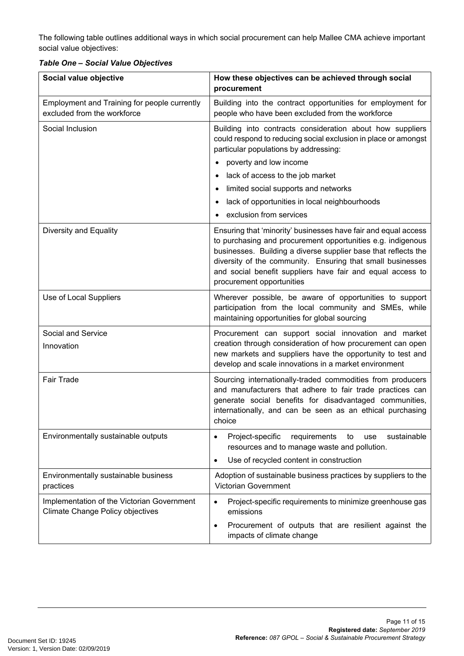The following table outlines additional ways in which social procurement can help Mallee CMA achieve important social value objectives:

|  |  |  |  | <b>Table One - Social Value Objectives</b> |
|--|--|--|--|--------------------------------------------|
|--|--|--|--|--------------------------------------------|

| Social value objective                                                                | How these objectives can be achieved through social<br>procurement                                                                                                                                                                                                                                                                                       |
|---------------------------------------------------------------------------------------|----------------------------------------------------------------------------------------------------------------------------------------------------------------------------------------------------------------------------------------------------------------------------------------------------------------------------------------------------------|
| Employment and Training for people currently<br>excluded from the workforce           | Building into the contract opportunities for employment for<br>people who have been excluded from the workforce                                                                                                                                                                                                                                          |
| Social Inclusion                                                                      | Building into contracts consideration about how suppliers<br>could respond to reducing social exclusion in place or amongst<br>particular populations by addressing:<br>poverty and low income<br>lack of access to the job market<br>limited social supports and networks<br>lack of opportunities in local neighbourhoods<br>exclusion from services   |
| Diversity and Equality                                                                | Ensuring that 'minority' businesses have fair and equal access<br>to purchasing and procurement opportunities e.g. indigenous<br>businesses. Building a diverse supplier base that reflects the<br>diversity of the community. Ensuring that small businesses<br>and social benefit suppliers have fair and equal access to<br>procurement opportunities |
| Use of Local Suppliers                                                                | Wherever possible, be aware of opportunities to support<br>participation from the local community and SMEs, while<br>maintaining opportunities for global sourcing                                                                                                                                                                                       |
| Social and Service<br>Innovation                                                      | Procurement can support social innovation and market<br>creation through consideration of how procurement can open<br>new markets and suppliers have the opportunity to test and<br>develop and scale innovations in a market environment                                                                                                                |
| <b>Fair Trade</b>                                                                     | Sourcing internationally-traded commodities from producers<br>and manufacturers that adhere to fair trade practices can<br>generate social benefits for disadvantaged communities,<br>internationally, and can be seen as an ethical purchasing<br>choice                                                                                                |
| Environmentally sustainable outputs                                                   | Project-specific<br>sustainable<br>requirements<br>to<br>use<br>$\bullet$<br>resources and to manage waste and pollution.<br>Use of recycled content in construction<br>$\bullet$                                                                                                                                                                        |
| Environmentally sustainable business<br>practices                                     | Adoption of sustainable business practices by suppliers to the<br>Victorian Government                                                                                                                                                                                                                                                                   |
| Implementation of the Victorian Government<br><b>Climate Change Policy objectives</b> | Project-specific requirements to minimize greenhouse gas<br>$\bullet$<br>emissions                                                                                                                                                                                                                                                                       |
|                                                                                       | Procurement of outputs that are resilient against the<br>٠<br>impacts of climate change                                                                                                                                                                                                                                                                  |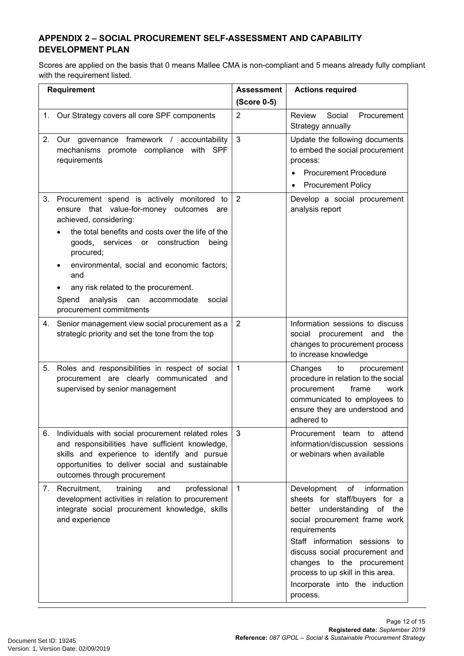# **APPENDIX 2 – SOCIAL PROCUREMENT SELF-ASSESSMENT AND CAPABILITY DEVELOPMENT PLAN**

Scores are applied on the basis that 0 means Mallee CMA is non-compliant and 5 means already fully compliant with the requirement listed.

| <b>Requirement</b> |                                                                                                                                                                                                                                         | <b>Assessment</b> | <b>Actions required</b>                                                                                                                                                                                                                                                                                                               |
|--------------------|-----------------------------------------------------------------------------------------------------------------------------------------------------------------------------------------------------------------------------------------|-------------------|---------------------------------------------------------------------------------------------------------------------------------------------------------------------------------------------------------------------------------------------------------------------------------------------------------------------------------------|
|                    |                                                                                                                                                                                                                                         | (Score 0-5)       |                                                                                                                                                                                                                                                                                                                                       |
|                    | 1. Our Strategy covers all core SPF components                                                                                                                                                                                          | $\overline{2}$    | Review<br>Social<br>Procurement<br>Strategy annually                                                                                                                                                                                                                                                                                  |
| 2.                 | Our governance framework / accountability<br>mechanisms promote compliance with SPF<br>requirements                                                                                                                                     | 3                 | Update the following documents<br>to embed the social procurement<br>process:<br><b>Procurement Procedure</b><br>$\bullet$<br><b>Procurement Policy</b><br>$\bullet$                                                                                                                                                                  |
| 3.                 | Procurement spend is actively monitored to<br>ensure that value-for-money outcomes are<br>achieved, considering:<br>the total benefits and costs over the life of the                                                                   | 2                 | Develop a social procurement<br>analysis report                                                                                                                                                                                                                                                                                       |
|                    | goods, services or construction<br>being<br>procured;<br>environmental, social and economic factors;                                                                                                                                    |                   |                                                                                                                                                                                                                                                                                                                                       |
|                    | and<br>any risk related to the procurement.<br>analysis<br>can accommodate<br>Spend<br>social<br>procurement commitments                                                                                                                |                   |                                                                                                                                                                                                                                                                                                                                       |
| 4.                 | Senior management view social procurement as a<br>strategic priority and set the tone from the top                                                                                                                                      | $\overline{2}$    | Information sessions to discuss<br>social procurement and the<br>changes to procurement process<br>to increase knowledge                                                                                                                                                                                                              |
| 5.                 | Roles and responsibilities in respect of social<br>procurement are clearly communicated and<br>supervised by senior management                                                                                                          | $\mathbf{1}$      | Changes<br>to<br>procurement<br>procedure in relation to the social<br>frame<br>procurement<br>work<br>communicated to employees to<br>ensure they are understood and<br>adhered to                                                                                                                                                   |
| 6.                 | Individuals with social procurement related roles<br>and responsibilities have sufficient knowledge,<br>skills and experience to identify and pursue<br>opportunities to deliver social and sustainable<br>outcomes through procurement | 3                 | Procurement team to attend<br>information/discussion sessions<br>or webinars when available                                                                                                                                                                                                                                           |
| 7.                 | Recruitment,<br>professional<br>training<br>and<br>development activities in relation to procurement<br>integrate social procurement knowledge, skills<br>and experience                                                                | $\mathbf{1}$      | Development<br>оf<br>information<br>sheets for staff/buyers for a<br>better understanding of the<br>social procurement frame work<br>requirements<br>Staff information sessions to<br>discuss social procurement and<br>changes to the procurement<br>process to up skill in this area.<br>Incorporate into the induction<br>process. |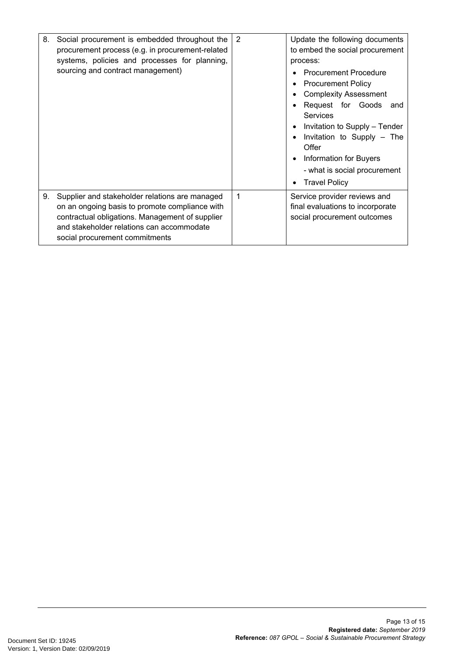| 8. | Social procurement is embedded throughout the<br>procurement process (e.g. in procurement-related<br>systems, policies and processes for planning,<br>sourcing and contract management)                                            | 2 | Update the following documents<br>to embed the social procurement<br>process:<br><b>Procurement Procedure</b><br><b>Procurement Policy</b><br><b>Complexity Assessment</b><br>Request for Goods<br>and<br>Services<br>Invitation to Supply - Tender<br>Invitation to Supply - The<br>Offer<br><b>Information for Buyers</b><br>- what is social procurement<br><b>Travel Policy</b> |
|----|------------------------------------------------------------------------------------------------------------------------------------------------------------------------------------------------------------------------------------|---|-------------------------------------------------------------------------------------------------------------------------------------------------------------------------------------------------------------------------------------------------------------------------------------------------------------------------------------------------------------------------------------|
| 9. | Supplier and stakeholder relations are managed<br>on an ongoing basis to promote compliance with<br>contractual obligations. Management of supplier<br>and stakeholder relations can accommodate<br>social procurement commitments | 1 | Service provider reviews and<br>final evaluations to incorporate<br>social procurement outcomes                                                                                                                                                                                                                                                                                     |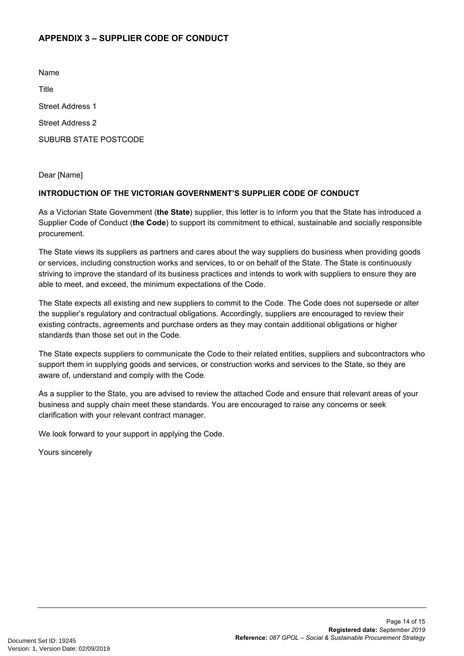# **APPENDIX 3 – SUPPLIER CODE OF CONDUCT**

Name

**Title** 

Street Address 1

Street Address 2

SUBURB STATE POSTCODE

Dear [Name]

#### **INTRODUCTION OF THE VICTORIAN GOVERNMENT'S SUPPLIER CODE OF CONDUCT**

As a Victorian State Government (**the State**) supplier, this letter is to inform you that the State has introduced a Supplier Code of Conduct (**the Code**) to support its commitment to ethical, sustainable and socially responsible procurement.

The State views its suppliers as partners and cares about the way suppliers do business when providing goods or services, including construction works and services, to or on behalf of the State. The State is continuously striving to improve the standard of its business practices and intends to work with suppliers to ensure they are able to meet, and exceed, the minimum expectations of the Code.

The State expects all existing and new suppliers to commit to the Code. The Code does not supersede or alter the supplier's regulatory and contractual obligations. Accordingly, suppliers are encouraged to review their existing contracts, agreements and purchase orders as they may contain additional obligations or higher standards than those set out in the Code.

The State expects suppliers to communicate the Code to their related entities, suppliers and subcontractors who support them in supplying goods and services, or construction works and services to the State, so they are aware of, understand and comply with the Code.

As a supplier to the State, you are advised to review the attached Code and ensure that relevant areas of your business and supply chain meet these standards. You are encouraged to raise any concerns or seek clarification with your relevant contract manager.

We look forward to your support in applying the Code.

Yours sincerely